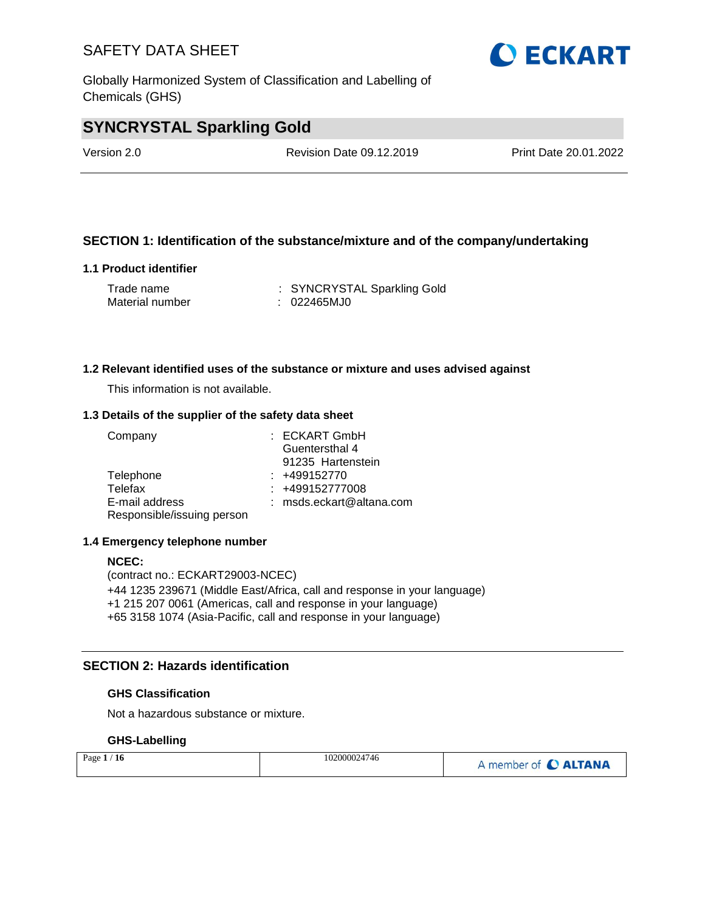Globally Harmonized System of Classification and Labelling of Chemicals (GHS)

## **SYNCRYSTAL Sparkling Gold**

Version 2.0 Revision Date 09.12.2019 Print Date 20.01.2022

### **SECTION 1: Identification of the substance/mixture and of the company/undertaking**

### **1.1 Product identifier**

| Trade name      | : SYNCRYSTAL Sparkling Gold |
|-----------------|-----------------------------|
| Material number | : 022465MJ0                 |

### **1.2 Relevant identified uses of the substance or mixture and uses advised against**

This information is not available.

### **1.3 Details of the supplier of the safety data sheet**

| Company                    | : ECKART GmbH            |
|----------------------------|--------------------------|
|                            | Guentersthal 4           |
|                            | 91235 Hartenstein        |
| Telephone                  | $: +499152770$           |
| Telefax                    | $: +499152777008$        |
| E-mail address             | : msds.eckart@altana.com |
| Responsible/issuing person |                          |

### **1.4 Emergency telephone number**

#### **NCEC:**

(contract no.: ECKART29003-NCEC) +44 1235 239671 (Middle East/Africa, call and response in your language) +1 215 207 0061 (Americas, call and response in your language) +65 3158 1074 (Asia-Pacific, call and response in your language)

### **SECTION 2: Hazards identification**

### **GHS Classification**

Not a hazardous substance or mixture.

### **GHS-Labelling**

| Page $1/16$ | 102000024746 | A member of C ALTANA |
|-------------|--------------|----------------------|
|-------------|--------------|----------------------|

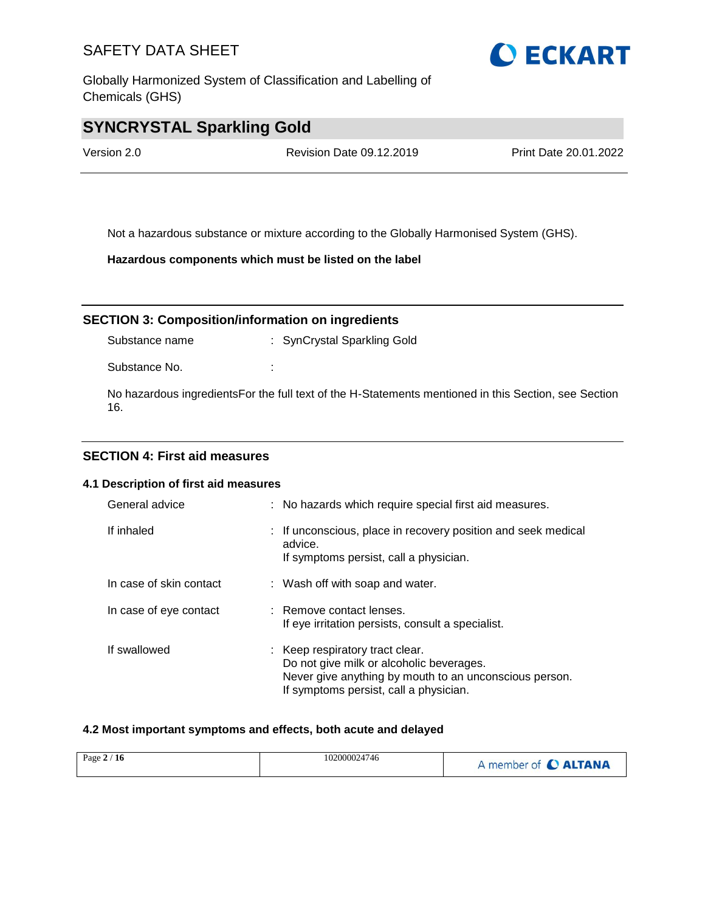Globally Harmonized System of Classification and Labelling of Chemicals (GHS)

## **SYNCRYSTAL Sparkling Gold**

Version 2.0 Revision Date 09.12.2019 Print Date 20.01.2022

Not a hazardous substance or mixture according to the Globally Harmonised System (GHS).

**Hazardous components which must be listed on the label**

**SECTION 3: Composition/information on ingredients**

Substance name : SynCrystal Sparkling Gold

Substance No. **:** :

No hazardous ingredientsFor the full text of the H-Statements mentioned in this Section, see Section 16.

### **SECTION 4: First aid measures**

### **4.1 Description of first aid measures**

| General advice          | : No hazards which require special first aid measures.                                                                                                                          |
|-------------------------|---------------------------------------------------------------------------------------------------------------------------------------------------------------------------------|
| If inhaled              | : If unconscious, place in recovery position and seek medical<br>advice.<br>If symptoms persist, call a physician.                                                              |
| In case of skin contact | : Wash off with soap and water.                                                                                                                                                 |
| In case of eye contact  | : Remove contact lenses.<br>If eye irritation persists, consult a specialist.                                                                                                   |
| If swallowed            | : Keep respiratory tract clear.<br>Do not give milk or alcoholic beverages.<br>Never give anything by mouth to an unconscious person.<br>If symptoms persist, call a physician. |

### **4.2 Most important symptoms and effects, both acute and delayed**

| Page $2/16$ | 102000024746 | A member of C ALTANA |
|-------------|--------------|----------------------|
|-------------|--------------|----------------------|

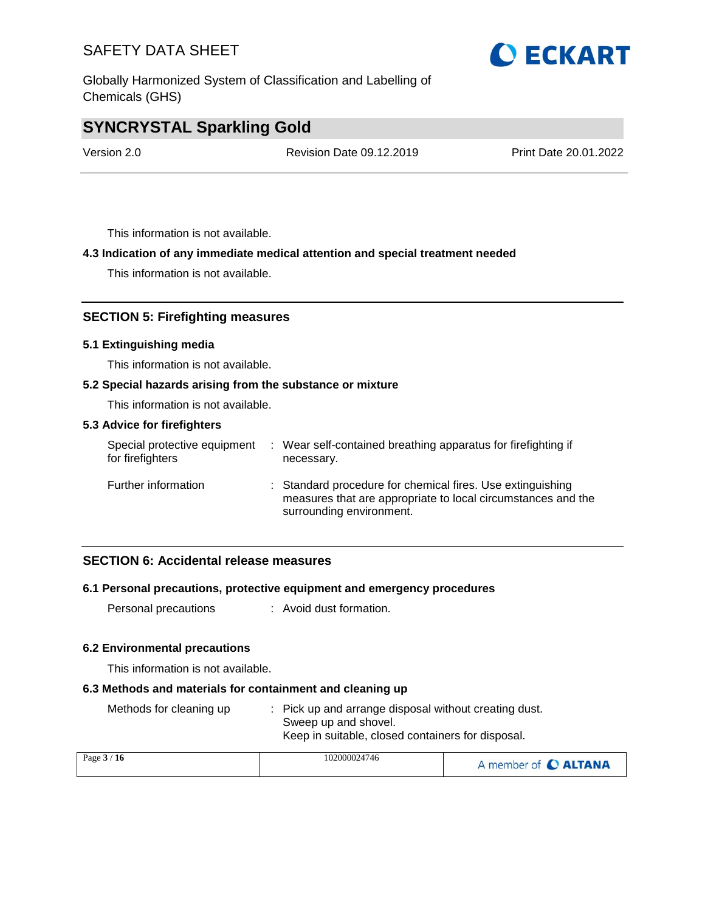Globally Harmonized System of Classification and Labelling of Chemicals (GHS)

## **SYNCRYSTAL Sparkling Gold**

Version 2.0 Revision Date 09.12.2019 Print Date 20.01.2022

This information is not available.

### **4.3 Indication of any immediate medical attention and special treatment needed**

This information is not available.

### **SECTION 5: Firefighting measures**

### **5.1 Extinguishing media**

This information is not available.

### **5.2 Special hazards arising from the substance or mixture**

This information is not available.

### **5.3 Advice for firefighters**

| Special protective equipment<br>for firefighters | : Wear self-contained breathing apparatus for firefighting if<br>necessary.                                                                            |
|--------------------------------------------------|--------------------------------------------------------------------------------------------------------------------------------------------------------|
| Further information                              | : Standard procedure for chemical fires. Use extinguishing<br>measures that are appropriate to local circumstances and the<br>surrounding environment. |

### **SECTION 6: Accidental release measures**

### **6.1 Personal precautions, protective equipment and emergency procedures**

Personal precautions : Avoid dust formation.

### **6.2 Environmental precautions**

This information is not available.

### **6.3 Methods and materials for containment and cleaning up**

| : Pick up and arrange disposal without creating dust. |
|-------------------------------------------------------|
| Sweep up and shovel.                                  |
| Keep in suitable, closed containers for disposal.     |
|                                                       |

| Page $3/16$ | 102000024746 | A member of C ALTANA |
|-------------|--------------|----------------------|
|             |              |                      |

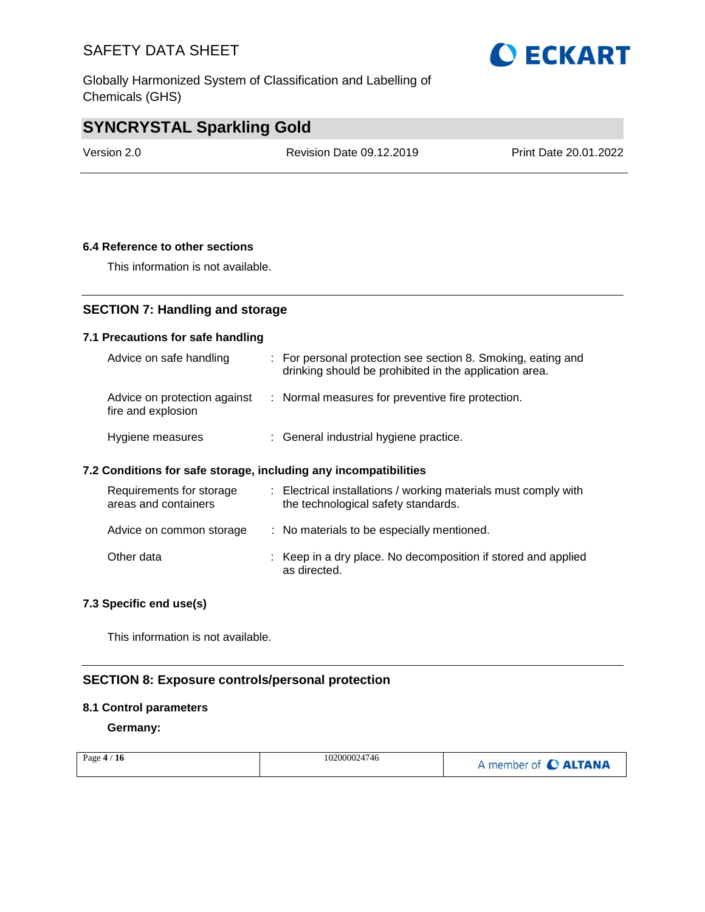Globally Harmonized System of Classification and Labelling of Chemicals (GHS)

## **SYNCRYSTAL Sparkling Gold**

Version 2.0 Revision Date 09.12.2019 Print Date 20.01.2022

### **6.4 Reference to other sections**

This information is not available.

### **SECTION 7: Handling and storage**

### **7.1 Precautions for safe handling**

| Advice on safe handling                            | : For personal protection see section 8. Smoking, eating and<br>drinking should be prohibited in the application area. |
|----------------------------------------------------|------------------------------------------------------------------------------------------------------------------------|
| Advice on protection against<br>fire and explosion | : Normal measures for preventive fire protection.                                                                      |
| Hygiene measures                                   | : General industrial hygiene practice.                                                                                 |

### **7.2 Conditions for safe storage, including any incompatibilities**

| Requirements for storage<br>areas and containers | : Electrical installations / working materials must comply with<br>the technological safety standards. |
|--------------------------------------------------|--------------------------------------------------------------------------------------------------------|
| Advice on common storage                         | : No materials to be especially mentioned.                                                             |
| Other data                                       | : Keep in a dry place. No decomposition if stored and applied<br>as directed.                          |

### **7.3 Specific end use(s)**

This information is not available.

### **SECTION 8: Exposure controls/personal protection**

### **8.1 Control parameters**

**Germany:**

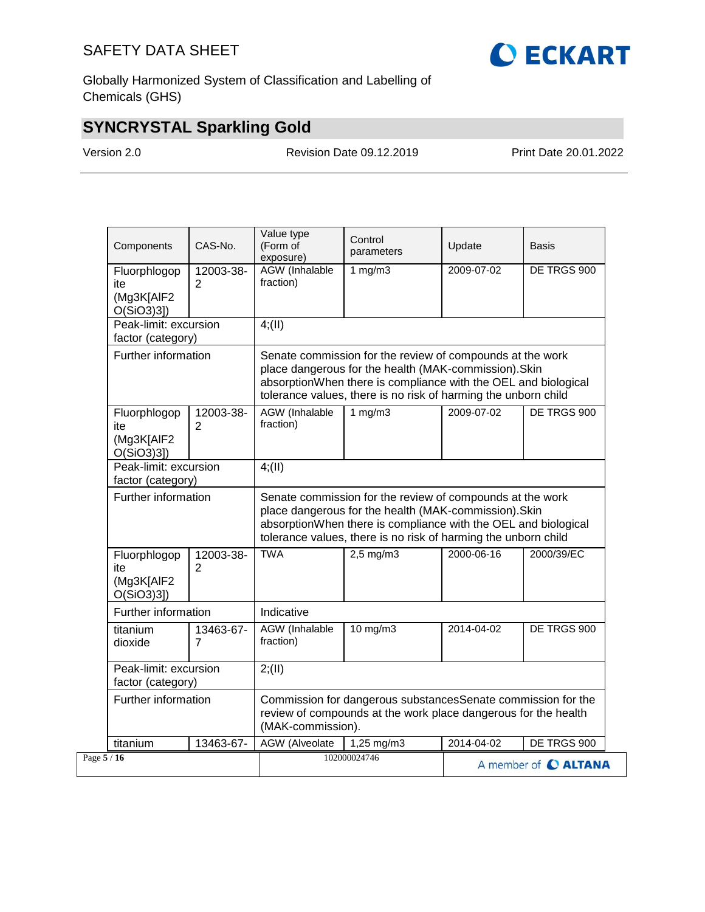

Globally Harmonized System of Classification and Labelling of Chemicals (GHS)

## **SYNCRYSTAL Sparkling Gold**

Version 2.0 Revision Date 09.12.2019 Print Date 20.01.2022

| Components                                        | CAS-No.                                    | Value type<br>(Form of<br>exposure) | Control<br>parameters                                                                                                                                                                                                                                  | Update     | Basis                |  |
|---------------------------------------------------|--------------------------------------------|-------------------------------------|--------------------------------------------------------------------------------------------------------------------------------------------------------------------------------------------------------------------------------------------------------|------------|----------------------|--|
| Fluorphlogop<br>ite<br>(Mg3K[AlF2<br>$O(SiO3)3$ ] | 12003-38-<br>$\overline{2}$                | AGW (Inhalable<br>fraction)         | 1 $mg/m3$                                                                                                                                                                                                                                              | 2009-07-02 | DE TRGS 900          |  |
|                                                   | Peak-limit: excursion<br>factor (category) |                                     |                                                                                                                                                                                                                                                        |            |                      |  |
|                                                   | Further information                        |                                     | Senate commission for the review of compounds at the work<br>place dangerous for the health (MAK-commission). Skin<br>absorptionWhen there is compliance with the OEL and biological<br>tolerance values, there is no risk of harming the unborn child |            |                      |  |
| Fluorphlogop<br>ite<br>(Mg3K[AIF2<br>O(SiO3)3]    | 12003-38-<br>2                             | AGW (Inhalable<br>fraction)         | 1 $mg/m3$                                                                                                                                                                                                                                              | 2009-07-02 | DE TRGS 900          |  |
| Peak-limit: excursion<br>factor (category)        |                                            | 4(11)                               |                                                                                                                                                                                                                                                        |            |                      |  |
|                                                   | Further information                        |                                     | Senate commission for the review of compounds at the work<br>place dangerous for the health (MAK-commission). Skin<br>absorptionWhen there is compliance with the OEL and biological<br>tolerance values, there is no risk of harming the unborn child |            |                      |  |
| Fluorphlogop<br>ite<br>(Mg3K[AIF2<br>O(SiO3)3]    | 12003-38-<br>$\overline{2}$                | <b>TWA</b>                          | $2,5$ mg/m $3$                                                                                                                                                                                                                                         | 2000-06-16 | 2000/39/EC           |  |
| Further information                               |                                            | Indicative                          |                                                                                                                                                                                                                                                        |            |                      |  |
| titanium<br>dioxide                               | 13463-67-<br>$\overline{7}$                | AGW (Inhalable<br>fraction)         | $10$ mg/m $3$                                                                                                                                                                                                                                          | 2014-04-02 | DE TRGS 900          |  |
|                                                   | Peak-limit: excursion<br>factor (category) |                                     |                                                                                                                                                                                                                                                        |            |                      |  |
|                                                   | Further information                        |                                     | Commission for dangerous substancesSenate commission for the<br>review of compounds at the work place dangerous for the health<br>(MAK-commission).                                                                                                    |            |                      |  |
| titanium                                          | 13463-67-                                  | <b>AGW</b> (Alveolate               | 1,25 mg/m3                                                                                                                                                                                                                                             | 2014-04-02 | DE TRGS 900          |  |
| Page $5/16$                                       |                                            |                                     | 102000024746                                                                                                                                                                                                                                           |            | A member of C ALTANA |  |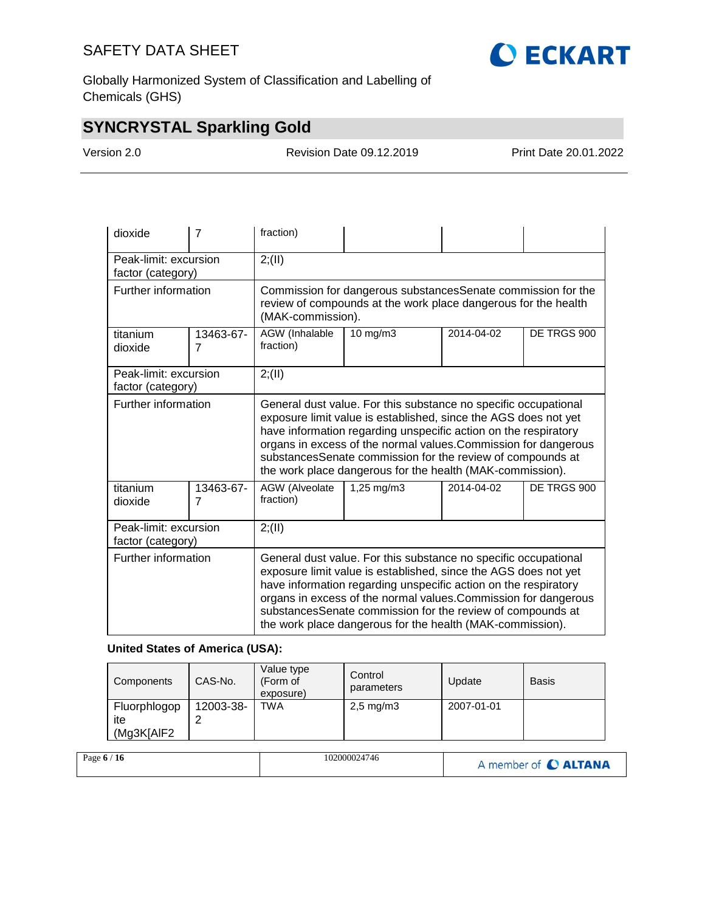

Globally Harmonized System of Classification and Labelling of Chemicals (GHS)

## **SYNCRYSTAL Sparkling Gold**

Version 2.0 Revision Date 09.12.2019 Print Date 20.01.2022

| dioxide                                    | 7              | fraction)                                                                                                                                                                                                                                                                                                                                                                                           |                                                                                                                                                     |            |             |  |  |
|--------------------------------------------|----------------|-----------------------------------------------------------------------------------------------------------------------------------------------------------------------------------------------------------------------------------------------------------------------------------------------------------------------------------------------------------------------------------------------------|-----------------------------------------------------------------------------------------------------------------------------------------------------|------------|-------------|--|--|
| Peak-limit: excursion<br>factor (category) |                | 2; (II)                                                                                                                                                                                                                                                                                                                                                                                             |                                                                                                                                                     |            |             |  |  |
| Further information                        |                |                                                                                                                                                                                                                                                                                                                                                                                                     | Commission for dangerous substancesSenate commission for the<br>review of compounds at the work place dangerous for the health<br>(MAK-commission). |            |             |  |  |
| titanium<br>dioxide                        | 13463-67-<br>7 | AGW (Inhalable<br>fraction)                                                                                                                                                                                                                                                                                                                                                                         | 10 mg/m3                                                                                                                                            | 2014-04-02 | DE TRGS 900 |  |  |
| Peak-limit: excursion<br>factor (category) |                | 2; (II)                                                                                                                                                                                                                                                                                                                                                                                             |                                                                                                                                                     |            |             |  |  |
| Further information                        |                | General dust value. For this substance no specific occupational<br>exposure limit value is established, since the AGS does not yet<br>have information regarding unspecific action on the respiratory<br>organs in excess of the normal values. Commission for dangerous<br>substancesSenate commission for the review of compounds at<br>the work place dangerous for the health (MAK-commission). |                                                                                                                                                     |            |             |  |  |
| titanium<br>dioxide                        | 13463-67-<br>7 | AGW (Alveolate<br>fraction)                                                                                                                                                                                                                                                                                                                                                                         | 1,25 mg/m3                                                                                                                                          | 2014-04-02 | DE TRGS 900 |  |  |
| Peak-limit: excursion<br>factor (category) |                | 2; (II)                                                                                                                                                                                                                                                                                                                                                                                             |                                                                                                                                                     |            |             |  |  |
| Further information                        |                | General dust value. For this substance no specific occupational<br>exposure limit value is established, since the AGS does not yet<br>have information regarding unspecific action on the respiratory<br>organs in excess of the normal values. Commission for dangerous<br>substancesSenate commission for the review of compounds at<br>the work place dangerous for the health (MAK-commission). |                                                                                                                                                     |            |             |  |  |

### **United States of America (USA):**

| Components                        | CAS-No.   | Value type<br>(Form of<br>exposure) | Control<br>parameters | Update     | <b>Basis</b> |
|-----------------------------------|-----------|-------------------------------------|-----------------------|------------|--------------|
| Fluorphlogop<br>ite<br>(Mg3K[AIF2 | 12003-38- | TWA                                 | $2,5 \text{ mg/m}$ 3  | 2007-01-01 |              |

| Page $6/16$ | 102000024746 | A member of C ALTANA |
|-------------|--------------|----------------------|
|-------------|--------------|----------------------|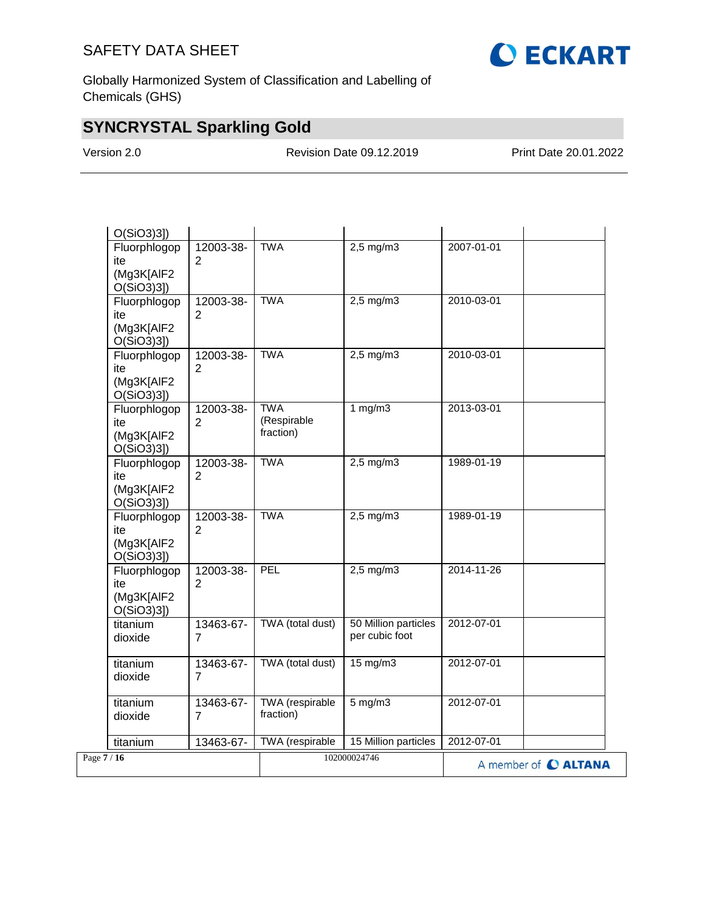

Globally Harmonized System of Classification and Labelling of Chemicals (GHS)

## **SYNCRYSTAL Sparkling Gold**

Version 2.0 Revision Date 09.12.2019 Print Date 20.01.2022

| titanium                                          | 13463-67-                   | TWA (respirable                        | 15 Million particles                     | 2012-07-01 |  |
|---------------------------------------------------|-----------------------------|----------------------------------------|------------------------------------------|------------|--|
| titanium<br>dioxide                               | 13463-67-<br>7              | TWA (respirable<br>fraction)           | $5 \text{ mg/m}$                         | 2012-07-01 |  |
| titanium<br>dioxide                               | 13463-67-<br>$\overline{7}$ | TWA (total dust)                       | $15 \text{ mg/m}$                        | 2012-07-01 |  |
| titanium<br>dioxide                               | 13463-67-<br>7              | TWA (total dust)                       | 50 Million particles<br>per cubic foot   | 2012-07-01 |  |
| Fluorphlogop<br>ite<br>(Mg3K[AIF2<br>O(SiO3)3]    | 12003-38-<br>2              | PEL                                    | $2,5$ mg/m $3$                           | 2014-11-26 |  |
| Fluorphlogop<br>ite<br>(Mg3K[AlF2<br>$O(SiO3)3$ ] | 12003-38-<br>$\overline{2}$ | <b>TWA</b>                             | $2,5$ mg/m $3$                           | 1989-01-19 |  |
| Fluorphlogop<br>ite<br>(Mg3K[AIF2<br>O(SiO3)3]    | 12003-38-<br>$\overline{2}$ | <b>TWA</b>                             | $2,5$ mg/m3                              | 1989-01-19 |  |
| Fluorphlogop<br>ite<br>(Mg3K[AlF2<br>$O(SiO3)3$ ] | 12003-38-<br>$\overline{2}$ | <b>TWA</b><br>(Respirable<br>fraction) | 1 $mg/m3$                                | 2013-03-01 |  |
| Fluorphlogop<br>ite<br>(Mg3K[AIF2<br>$O(SiO3)3$ ] | 12003-38-<br>2              | <b>TWA</b>                             | $2,5$ mg/m $3$                           | 2010-03-01 |  |
| Fluorphlogop<br>ite<br>(Mg3K[AlF2<br>O(SiO3)3]    | 12003-38-<br>2              | <b>TWA</b>                             | $2,5 \overline{\mathrm{mg}}/\mathrm{m}3$ | 2010-03-01 |  |
| Fluorphlogop<br>ite<br>(Mg3K[AlF2<br>$O(SiO3)3$ ] | 12003-38-<br>2              | <b>TWA</b>                             | $2,5$ mg/m $3$                           | 2007-01-01 |  |
| O(SiO3)3]                                         |                             |                                        |                                          |            |  |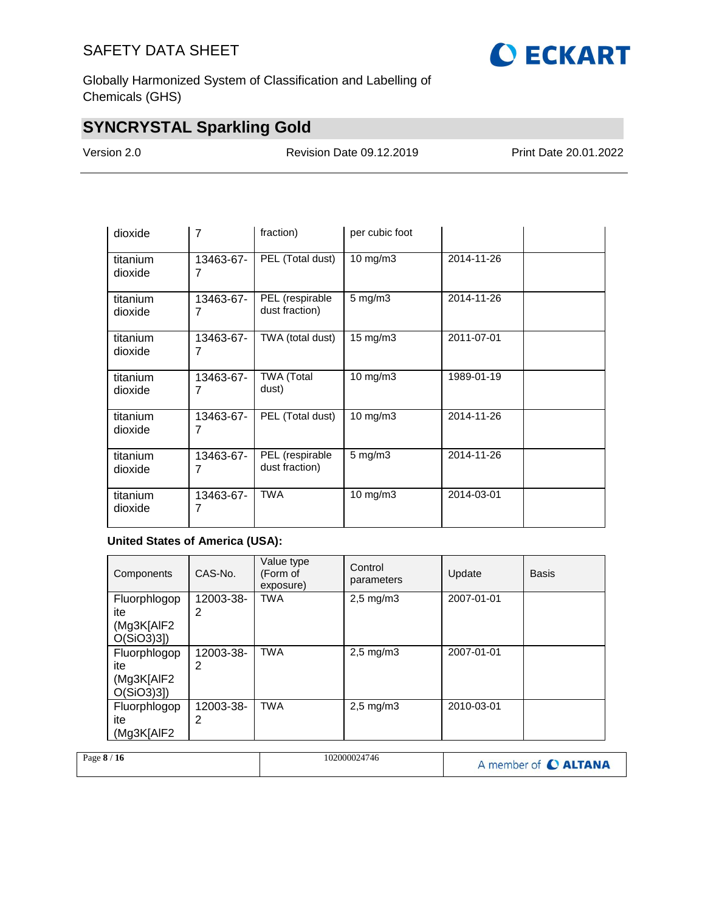

Globally Harmonized System of Classification and Labelling of Chemicals (GHS)

## **SYNCRYSTAL Sparkling Gold**

Version 2.0 Revision Date 09.12.2019 Print Date 20.01.2022

| dioxide             | 7              | fraction)                         | per cubic foot     |            |  |
|---------------------|----------------|-----------------------------------|--------------------|------------|--|
| titanium<br>dioxide | 13463-67-<br>7 | PEL (Total dust)                  | $10 \text{ mg/m}$  | 2014-11-26 |  |
| titanium<br>dioxide | 13463-67-<br>7 | PEL (respirable<br>dust fraction) | $5$ mg/m $3$       | 2014-11-26 |  |
| titanium<br>dioxide | 13463-67-<br>7 | TWA (total dust)                  | 15 mg/m3           | 2011-07-01 |  |
| titanium<br>dioxide | 13463-67-<br>7 | <b>TWA (Total</b><br>dust)        | 10 mg/m3           | 1989-01-19 |  |
| titanium<br>dioxide | 13463-67-<br>7 | PEL (Total dust)                  | $10 \text{ mg/m}$  | 2014-11-26 |  |
| titanium<br>dioxide | 13463-67-<br>7 | PEL (respirable<br>dust fraction) | $5 \text{ mg/m}$ 3 | 2014-11-26 |  |
| titanium<br>dioxide | 13463-67-<br>7 | <b>TWA</b>                        | $10 \text{ mg/m}$  | 2014-03-01 |  |

### **United States of America (USA):**

| Components                                         | CAS-No.        | Value type<br>(Form of<br>exposure) | Control<br>parameters | Update     | <b>Basis</b> |
|----------------------------------------------------|----------------|-------------------------------------|-----------------------|------------|--------------|
| Fluorphlogop<br>ite<br>(Mg3K[AIF2]<br>$O(SiO3)3$ ] | 12003-38-<br>2 | <b>TWA</b>                          | $2,5 \text{ mg/m}$    | 2007-01-01 |              |
| Fluorphlogop<br>ite<br>(Mg3K[AIF2]<br>$O(SiO3)3$ ] | 12003-38-<br>2 | <b>TWA</b>                          | $2,5$ mg/m $3$        | 2007-01-01 |              |
| Fluorphlogop<br>ite<br>(Mg3K[AIF2                  | 12003-38-<br>2 | <b>TWA</b>                          | $2,5 \text{ mg/m}$ 3  | 2010-03-01 |              |

|  | Page $8/16$ | 102000024746 | A member of C ALTANA |
|--|-------------|--------------|----------------------|
|--|-------------|--------------|----------------------|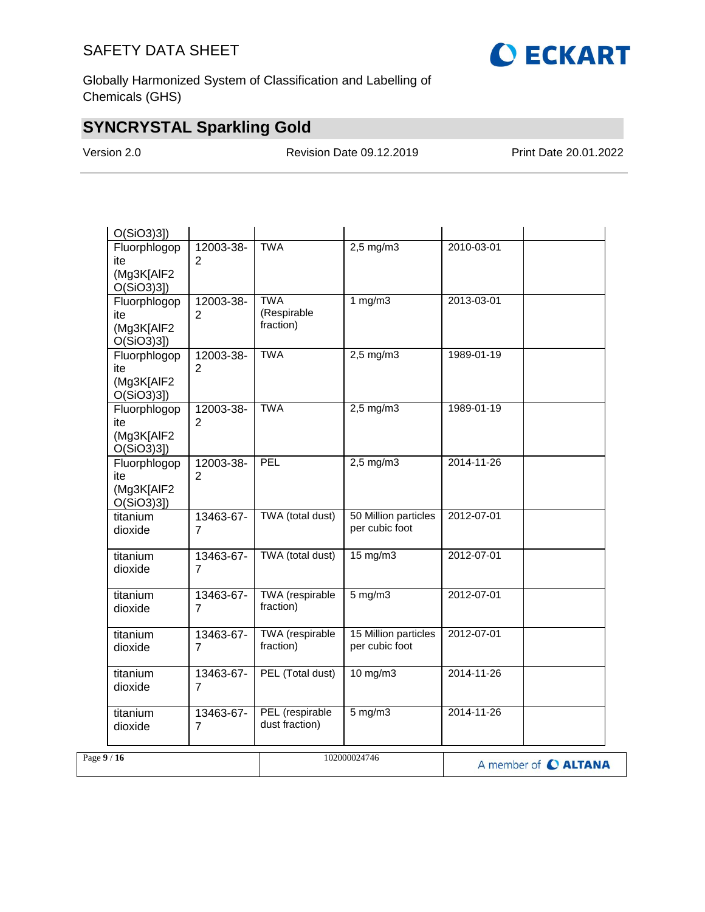

Globally Harmonized System of Classification and Labelling of Chemicals (GHS)

# **SYNCRYSTAL Sparkling Gold**

Version 2.0 Revision Date 09.12.2019 Print Date 20.01.2022

| Page $9/16$                                       |                             |                                        | 102000024746                           |            | A member of C ALTANA |
|---------------------------------------------------|-----------------------------|----------------------------------------|----------------------------------------|------------|----------------------|
| titanium<br>dioxide                               | 13463-67-<br>$\overline{7}$ | PEL (respirable<br>dust fraction)      | $5$ mg/m $3$                           | 2014-11-26 |                      |
| titanium<br>dioxide                               | 13463-67-<br>$\overline{7}$ | PEL (Total dust)                       | 10 mg/m3                               | 2014-11-26 |                      |
| titanium<br>dioxide                               | 13463-67-<br>$\overline{7}$ | TWA (respirable<br>fraction)           | 15 Million particles<br>per cubic foot | 2012-07-01 |                      |
| titanium<br>dioxide                               | 13463-67-<br>$\overline{7}$ | TWA (respirable<br>fraction)           | $5$ mg/m $3$                           | 2012-07-01 |                      |
| titanium<br>dioxide                               | 13463-67-<br>$\overline{7}$ | TWA (total dust)                       | $15 \text{ mg/m}$                      | 2012-07-01 |                      |
| titanium<br>dioxide                               | 13463-67-<br>$\overline{7}$ | TWA (total dust)                       | 50 Million particles<br>per cubic foot | 2012-07-01 |                      |
| Fluorphlogop<br>ite<br>(Mg3K[AIF2<br>O(SiO3)3]    | 12003-38-<br>2              | PEL                                    | $2,5$ mg/m3                            | 2014-11-26 |                      |
| Fluorphlogop<br>ite<br>(Mg3K[AIF2<br>O(SiO3)3]    | 12003-38-<br>$\overline{2}$ | <b>TWA</b>                             | $2,5$ mg/m3                            | 1989-01-19 |                      |
| Fluorphlogop<br>ite<br>(Mg3K[AIF2<br>O(SiO3)3]    | 12003-38-<br>$\overline{2}$ | <b>TWA</b>                             | $2,5$ mg/m $3$                         | 1989-01-19 |                      |
| Fluorphlogop<br>ite<br>(Mg3K[AIF2<br>O(SiO3)3]    | 12003-38-<br>$\overline{2}$ | <b>TWA</b><br>(Respirable<br>fraction) | 1 mg/m3                                | 2013-03-01 |                      |
| Fluorphlogop<br>ite<br>(Mg3K[AIF2<br>$O(SiO3)3$ ] | 12003-38-<br>$\overline{2}$ | <b>TWA</b>                             | $2,5$ mg/m $3$                         | 2010-03-01 |                      |
| $O(SiO3)3$ ]                                      |                             |                                        |                                        |            |                      |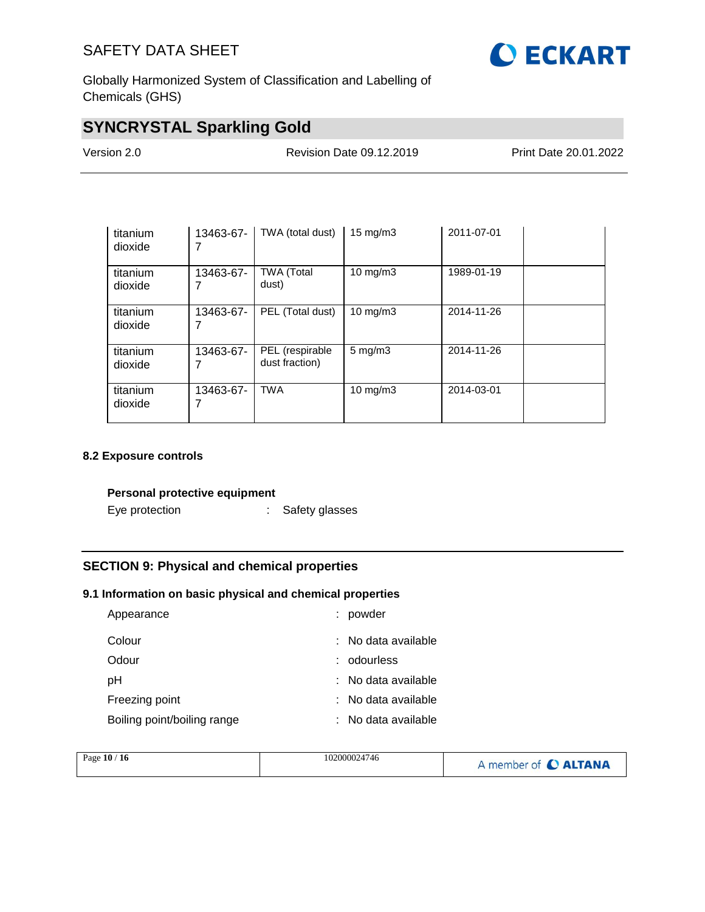

Globally Harmonized System of Classification and Labelling of Chemicals (GHS)

## **SYNCRYSTAL Sparkling Gold**

| ersion 2.0/ |  |
|-------------|--|
|-------------|--|

Version 2.0 Revision Date 09.12.2019 Print Date 20.01.2022

| titanium<br>dioxide | 13463-67- | TWA (total dust)                  | $15 \text{ mg/m}$  | 2011-07-01 |  |
|---------------------|-----------|-----------------------------------|--------------------|------------|--|
| titanium<br>dioxide | 13463-67- | <b>TWA (Total</b><br>dust)        | 10 mg/m $3$        | 1989-01-19 |  |
| titanium<br>dioxide | 13463-67- | PEL (Total dust)                  | $10 \text{ mg/m}$  | 2014-11-26 |  |
| titanium<br>dioxide | 13463-67- | PEL (respirable<br>dust fraction) | $5 \text{ mg/m}$ 3 | 2014-11-26 |  |
| titanium<br>dioxide | 13463-67- | <b>TWA</b>                        | $10 \text{ mg/m}$  | 2014-03-01 |  |

### **8.2 Exposure controls**

### **Personal protective equipment**

Eye protection : Safety glasses

### **SECTION 9: Physical and chemical properties**

### **9.1 Information on basic physical and chemical properties**

| Appearance                  |    | powder                |
|-----------------------------|----|-----------------------|
| Colour                      |    | $:$ No data available |
| Odour                       |    | odourless             |
| рH                          |    | : No data available   |
| Freezing point              |    | : No data available   |
| Boiling point/boiling range | ÷. | No data available     |

| Page 10 / 16 | 102000024746 | A member of C ALTANA |
|--------------|--------------|----------------------|
|              |              |                      |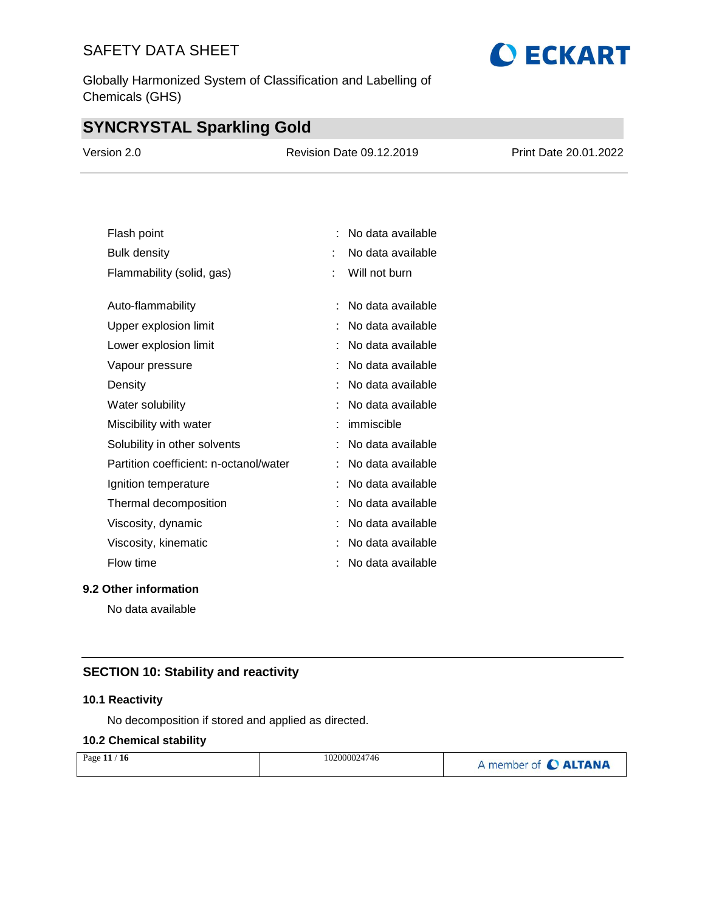Globally Harmonized System of Classification and Labelling of Chemicals (GHS)

## **SYNCRYSTAL Sparkling Gold**

| Version 2.0 | <b>Revision Date 09.12.2019</b> | <b>Print Date 20.01.2022</b> |
|-------------|---------------------------------|------------------------------|
|             |                                 |                              |

| Flash point                            |   | No data available |
|----------------------------------------|---|-------------------|
| <b>Bulk density</b>                    |   | No data available |
| Flammability (solid, gas)              |   | Will not burn     |
|                                        |   |                   |
| Auto-flammability                      |   | No data available |
| Upper explosion limit                  |   | No data available |
| Lower explosion limit                  |   | No data available |
| Vapour pressure                        |   | No data available |
| Density                                |   | No data available |
| Water solubility                       |   | No data available |
| Miscibility with water                 |   | immiscible        |
| Solubility in other solvents           | t | No data available |
| Partition coefficient: n-octanol/water |   | No data available |
| Ignition temperature                   |   | No data available |
| Thermal decomposition                  |   | No data available |
| Viscosity, dynamic                     |   | No data available |
| Viscosity, kinematic                   |   | No data available |
| Flow time                              |   | No data available |

### **9.2 Other information**

No data available

### **SECTION 10: Stability and reactivity**

### **10.1 Reactivity**

No decomposition if stored and applied as directed.

### **10.2 Chemical stability**

| Page $11/16$ | 102000024746 | A member of C ALTANA |
|--------------|--------------|----------------------|
|              |              |                      |

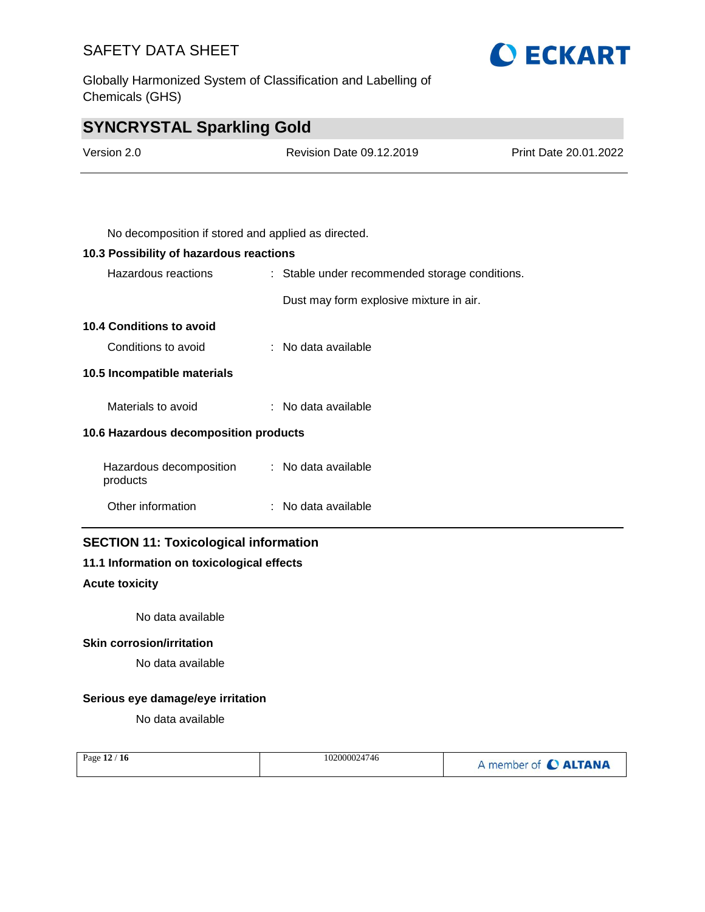Globally Harmonized System of Classification and Labelling of Chemicals (GHS)



## **SYNCRYSTAL Sparkling Gold**

| Version 2.0 | Revision Date 09.12.2019                            | Print Date 20.01.2022 |
|-------------|-----------------------------------------------------|-----------------------|
|             |                                                     |                       |
|             |                                                     |                       |
|             | No decomposition if stored and applied as directed. |                       |

### **10.3 Possibility of hazardous reactions**

| Hazardous reactions                   | : Stable under recommended storage conditions. |  |
|---------------------------------------|------------------------------------------------|--|
|                                       | Dust may form explosive mixture in air.        |  |
| <b>10.4 Conditions to avoid</b>       |                                                |  |
| Conditions to avoid                   | : No data available                            |  |
| 10.5 Incompatible materials           |                                                |  |
| Materials to avoid                    | $:$ No data available                          |  |
| 10.6 Hazardous decomposition products |                                                |  |
| Hazardous decomposition<br>products   | : No data available                            |  |
| Other information                     | : No data available                            |  |
|                                       |                                                |  |

### **SECTION 11: Toxicological information**

### **11.1 Information on toxicological effects**

### **Acute toxicity**

No data available

### **Skin corrosion/irritation**

No data available

### **Serious eye damage/eye irritation**

No data available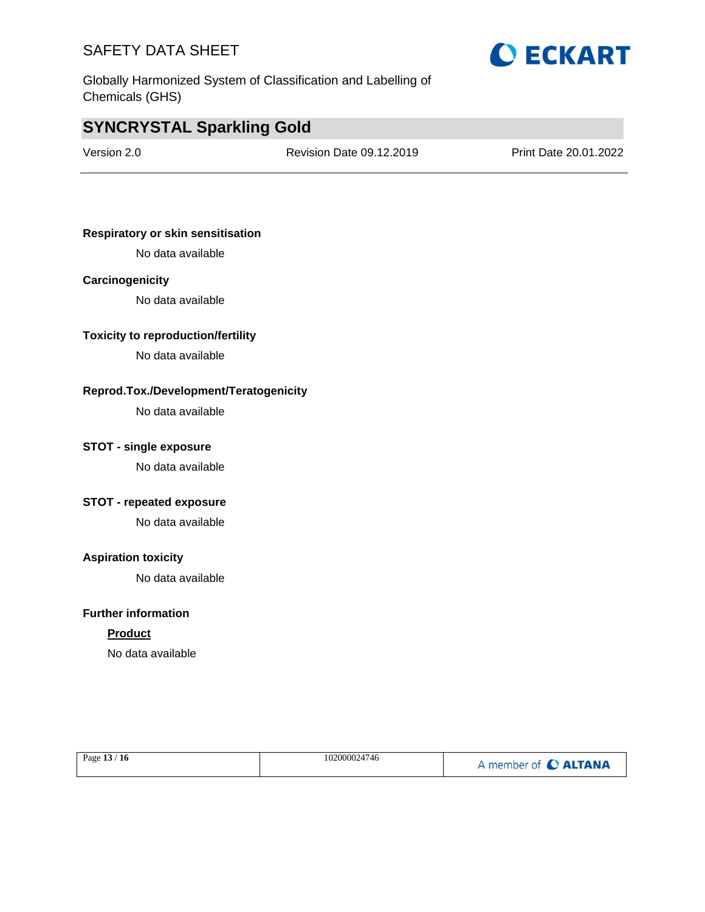



## **SYNCRYSTAL Sparkling Gold**

Version 2.0 Revision Date 09.12.2019 Print Date 20.01.2022

### **Respiratory or skin sensitisation**

No data available

### **Carcinogenicity**

No data available

### **Toxicity to reproduction/fertility**

No data available

### **Reprod.Tox./Development/Teratogenicity**

No data available

### **STOT - single exposure**

No data available

### **STOT - repeated exposure**

No data available

### **Aspiration toxicity**

No data available

### **Further information**

### **Product**

No data available

| Page 13 / 16 | 102000024746 | A member of C ALTANA |
|--------------|--------------|----------------------|
|              |              |                      |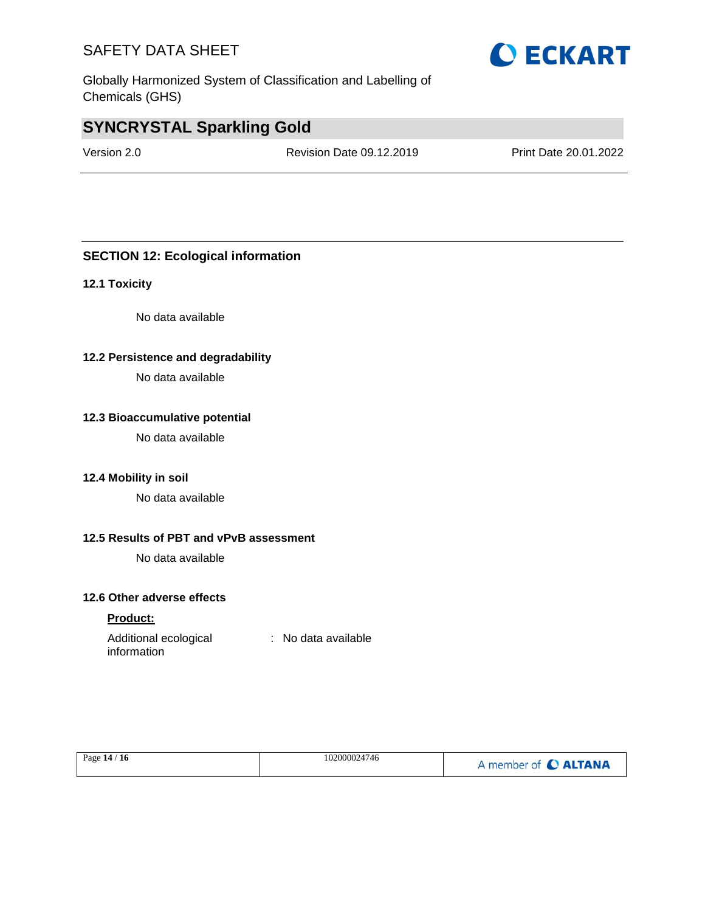Globally Harmonized System of Classification and Labelling of Chemicals (GHS)

## **SYNCRYSTAL Sparkling Gold**

Version 2.0 Revision Date 09.12.2019 Print Date 20.01.2022

### **SECTION 12: Ecological information**

### **12.1 Toxicity**

No data available

### **12.2 Persistence and degradability**

No data available

### **12.3 Bioaccumulative potential**

No data available

### **12.4 Mobility in soil**

No data available

### **12.5 Results of PBT and vPvB assessment**

No data available

### **12.6 Other adverse effects**

### **Product:**

| Additional ecological | : No data available |
|-----------------------|---------------------|
| information           |                     |

| Page 14 / 16 | 102000024746 | A member of C ALTANA |
|--------------|--------------|----------------------|
|--------------|--------------|----------------------|

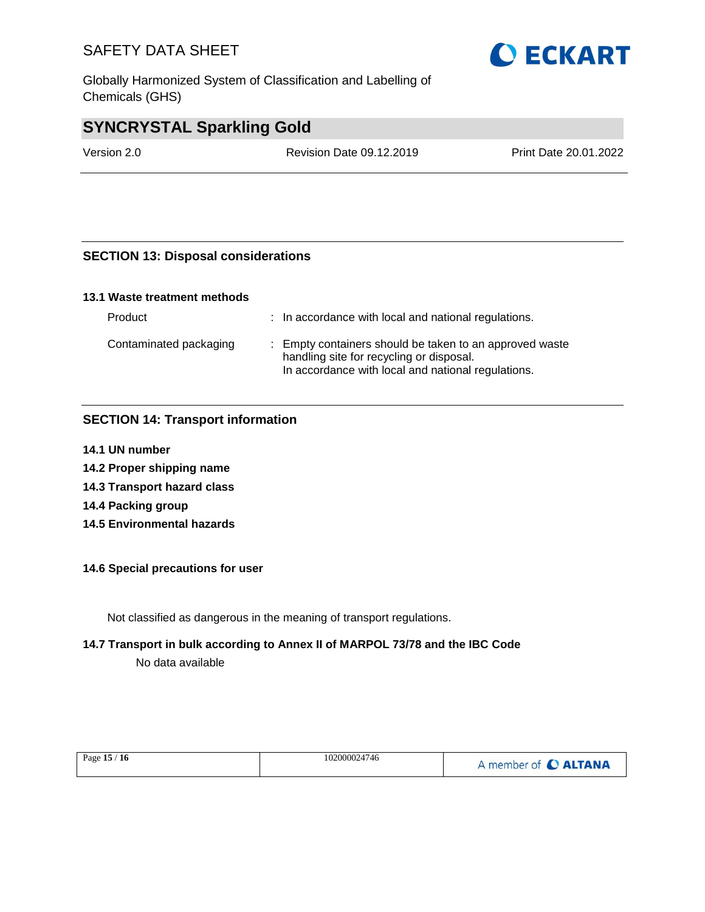Globally Harmonized System of Classification and Labelling of Chemicals (GHS)

# **SYNCRYSTAL Sparkling Gold**

Version 2.0 Revision Date 09.12.2019 Print Date 20.01.2022

### **SECTION 13: Disposal considerations**

### **13.1 Waste treatment methods**

| Product                | : In accordance with local and national regulations.                                                                                                      |
|------------------------|-----------------------------------------------------------------------------------------------------------------------------------------------------------|
| Contaminated packaging | : Empty containers should be taken to an approved waste<br>handling site for recycling or disposal.<br>In accordance with local and national regulations. |

### **SECTION 14: Transport information**

- **14.1 UN number**
- **14.2 Proper shipping name**
- **14.3 Transport hazard class**
- **14.4 Packing group**
- **14.5 Environmental hazards**

### **14.6 Special precautions for user**

Not classified as dangerous in the meaning of transport regulations.

### **14.7 Transport in bulk according to Annex II of MARPOL 73/78 and the IBC Code**

No data available

| Page 15 / 16 | 102000024746 | A member of C ALTANA |
|--------------|--------------|----------------------|
|              |              |                      |